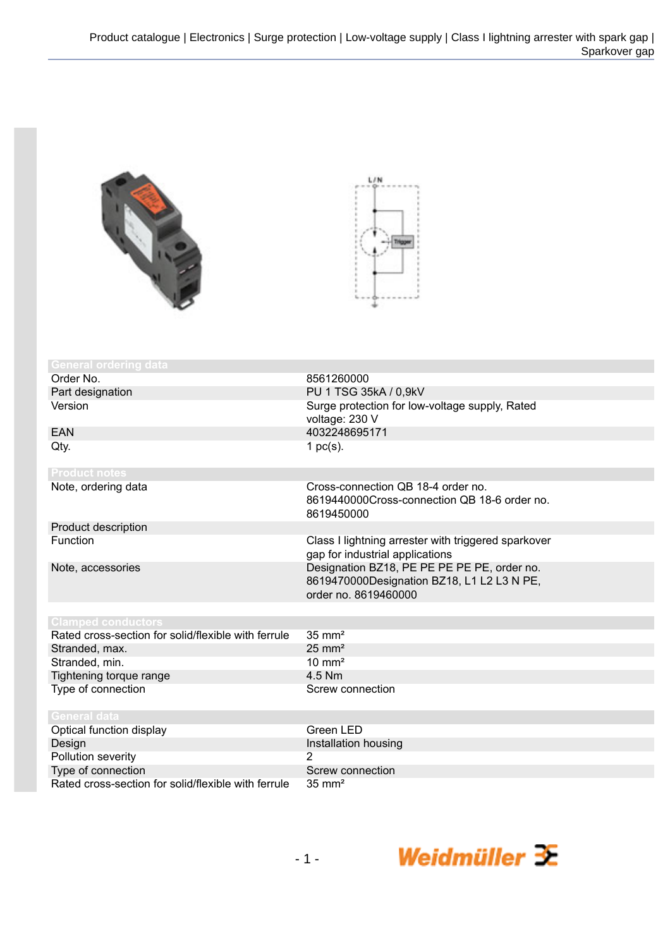



| <b>General ordering data</b>                        |                                                                                                                   |
|-----------------------------------------------------|-------------------------------------------------------------------------------------------------------------------|
| Order No.                                           | 8561260000                                                                                                        |
| Part designation                                    | PU 1 TSG 35kA / 0,9kV                                                                                             |
| Version                                             | Surge protection for low-voltage supply, Rated<br>voltage: 230 V                                                  |
| EAN                                                 | 4032248695171                                                                                                     |
| Qty.                                                | 1 $pc(s)$ .                                                                                                       |
| <b>Product notes</b>                                |                                                                                                                   |
| Note, ordering data                                 | Cross-connection QB 18-4 order no.<br>8619440000Cross-connection QB 18-6 order no.<br>8619450000                  |
| Product description                                 |                                                                                                                   |
| Function                                            | Class I lightning arrester with triggered sparkover<br>gap for industrial applications                            |
| Note, accessories                                   | Designation BZ18, PE PE PE PE PE, order no.<br>8619470000Designation BZ18, L1 L2 L3 N PE,<br>order no. 8619460000 |
|                                                     |                                                                                                                   |
| <b>Clamped conductors</b>                           |                                                                                                                   |
| Rated cross-section for solid/flexible with ferrule | $35 \text{ mm}^2$                                                                                                 |
| Stranded, max.                                      | $25 \text{ mm}^2$                                                                                                 |
| Stranded, min.                                      | $10 \text{ mm}^2$                                                                                                 |
| Tightening torque range                             | 4.5 Nm                                                                                                            |
| Type of connection                                  | Screw connection                                                                                                  |
| <b>General data</b>                                 |                                                                                                                   |
| Optical function display                            | Green LED                                                                                                         |
| Design                                              | Installation housing                                                                                              |
| Pollution severity                                  | 2                                                                                                                 |
| Type of connection                                  | Screw connection                                                                                                  |
| Rated cross-section for solid/flexible with ferrule | $35 \text{ mm}^2$                                                                                                 |

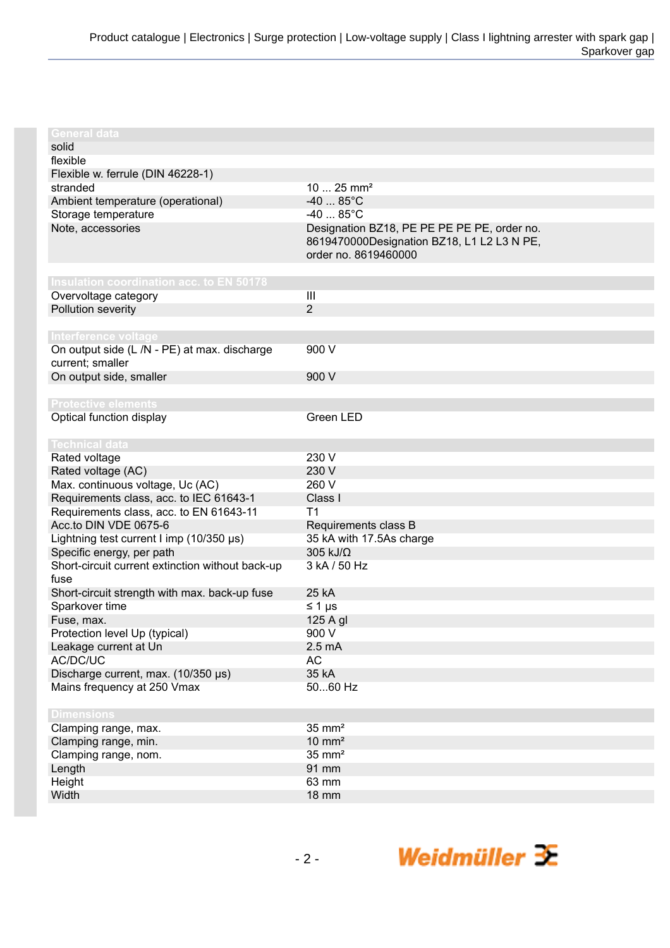| <b>General data</b>                              |                                             |
|--------------------------------------------------|---------------------------------------------|
| solid                                            |                                             |
| flexible                                         |                                             |
| Flexible w. ferrule (DIN 46228-1)                |                                             |
| stranded                                         | $1025$ mm <sup>2</sup>                      |
| Ambient temperature (operational)                | $-40$ 85°C                                  |
| Storage temperature                              | $-40$ 85°C                                  |
| Note, accessories                                | Designation BZ18, PE PE PE PE PE, order no. |
|                                                  | 8619470000Designation BZ18, L1 L2 L3 N PE,  |
|                                                  | order no. 8619460000                        |
|                                                  |                                             |
| Insulation coordination acc. to EN 50178         |                                             |
| Overvoltage category                             | III                                         |
| Pollution severity                               | $\overline{2}$                              |
|                                                  |                                             |
| Interference voltage                             |                                             |
| On output side (L /N - PE) at max. discharge     | 900 V                                       |
| current; smaller                                 |                                             |
| On output side, smaller                          | 900 V                                       |
|                                                  |                                             |
| <b>Protective elements</b>                       |                                             |
| Optical function display                         | Green LED                                   |
|                                                  |                                             |
| <b>Technical data</b>                            |                                             |
| Rated voltage                                    | 230 V                                       |
| Rated voltage (AC)                               | 230 V                                       |
| Max. continuous voltage, Uc (AC)                 | 260 V                                       |
| Requirements class, acc. to IEC 61643-1          | Class I                                     |
| Requirements class, acc. to EN 61643-11          | T <sub>1</sub>                              |
| Acc.to DIN VDE 0675-6                            | Requirements class B                        |
| Lightning test current I imp (10/350 µs)         | 35 kA with 17.5As charge                    |
| Specific energy, per path                        | 305 kJ/Ω                                    |
| Short-circuit current extinction without back-up | 3 kA / 50 Hz                                |
| fuse                                             |                                             |
| Short-circuit strength with max. back-up fuse    | 25 kA                                       |
| Sparkover time                                   | $\leq 1 \mu s$                              |
| Fuse, max.                                       | 125 A gl                                    |
| Protection level Up (typical)                    | 900 V                                       |
| Leakage current at Un                            | 2.5 <sub>m</sub> A                          |
| AC/DC/UC                                         | <b>AC</b>                                   |
| Discharge current, max. (10/350 µs)              | 35 kA                                       |
| Mains frequency at 250 Vmax                      | 5060 Hz                                     |
|                                                  |                                             |
| <b>Dimensions</b>                                |                                             |
| Clamping range, max.                             | $35 \text{ mm}^2$                           |
| Clamping range, min.                             | $10 \text{ mm}^2$                           |
| Clamping range, nom.                             | $35 \text{ mm}^2$                           |
| Length                                           | 91 mm                                       |
| Height                                           | 63 mm                                       |
| Width                                            | <b>18 mm</b>                                |
|                                                  |                                             |